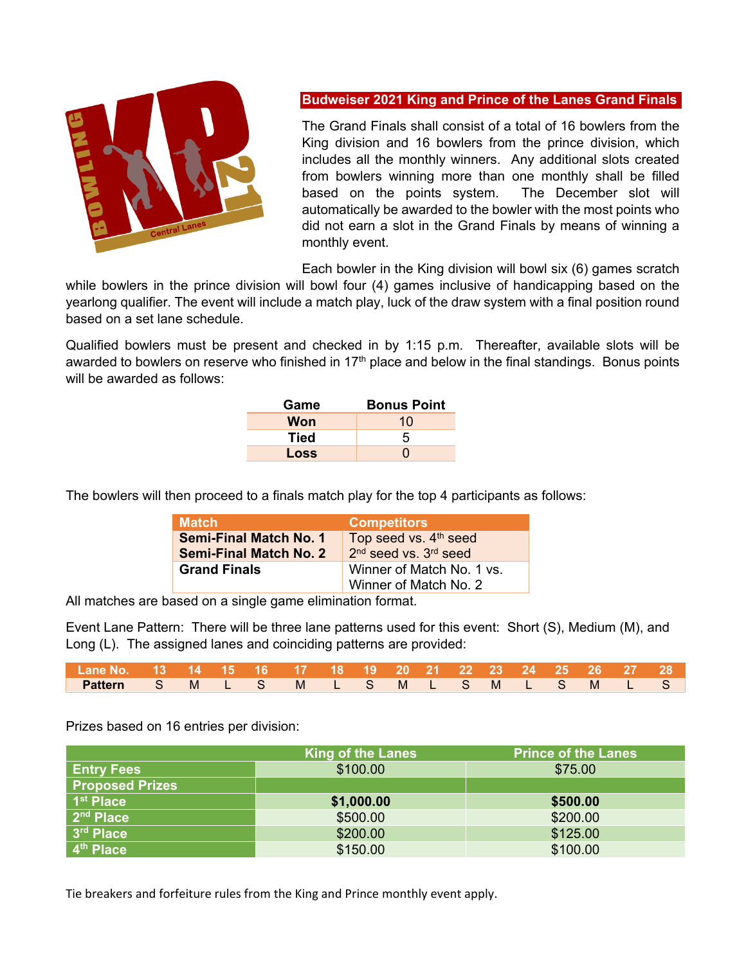

## **Budweiser 2021 King and Prince of the Lanes Grand Finals**

The Grand Finals shall consist of a total of 16 bowlers from the King division and 16 bowlers from the prince division, which includes all the monthly winners. Any additional slots created from bowlers winning more than one monthly shall be filled based on the points system. The December slot will automatically be awarded to the bowler with the most points who did not earn a slot in the Grand Finals by means of winning a monthly event.

Each bowler in the King division will bowl six (6) games scratch

while bowlers in the prince division will bowl four (4) games inclusive of handicapping based on the yearlong qualifier. The event will include a match play, luck of the draw system with a final position round based on a set lane schedule.

Qualified bowlers must be present and checked in by 1:15 p.m. Thereafter, available slots will be awarded to bowlers on reserve who finished in 17<sup>th</sup> place and below in the final standings. Bonus points will be awarded as follows:

| Game        | <b>Bonus Point</b> |
|-------------|--------------------|
| Won         | 10                 |
| <b>Tied</b> | 5                  |
| Loss        | 0                  |

The bowlers will then proceed to a finals match play for the top 4 participants as follows:

| <b>Match</b>                                                   | <b>Competitors</b>                                             |
|----------------------------------------------------------------|----------------------------------------------------------------|
| <b>Semi-Final Match No. 1</b><br><b>Semi-Final Match No. 2</b> | Top seed vs. 4 <sup>th</sup> seed<br>$2nd$ seed vs. $3rd$ seed |
| <b>Grand Finals</b>                                            | Winner of Match No. 1 vs.<br>Winner of Match No. 2             |

All matches are based on a single game elimination format.

Event Lane Pattern: There will be three lane patterns used for this event: Short (S), Medium (M), and Long (L). The assigned lanes and coinciding patterns are provided:

| l Lane No.  13  14  15  16  17  18  19  20  21  22  23  24  25  26  27  28 <sub>i</sub> |  |  |  |  |  |  |  |  |
|-----------------------------------------------------------------------------------------|--|--|--|--|--|--|--|--|
| Pattern SMLSMLSMLSMLSMLSMLS                                                             |  |  |  |  |  |  |  |  |

Prizes based on 16 entries per division:

|                        | <b>King of the Lanes</b> | <b>Prince of the Lanes</b> |
|------------------------|--------------------------|----------------------------|
| <b>Entry Fees</b>      | \$100.00                 | \$75.00                    |
| <b>Proposed Prizes</b> |                          |                            |
| 1 <sup>st</sup> Place  | \$1,000.00               | \$500.00                   |
| 2 <sup>nd</sup> Place  | \$500.00                 | \$200.00                   |
| 3 <sup>rd</sup> Place  | \$200.00                 | \$125.00                   |
| 4 <sup>th</sup> Place  | \$150.00                 | \$100.00                   |

Tie breakers and forfeiture rules from the King and Prince monthly event apply.